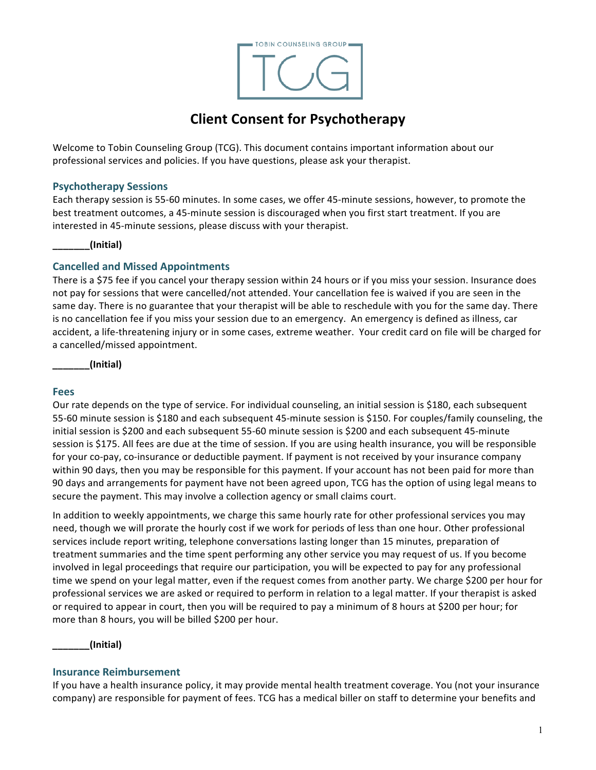

# **Client Consent for Psychotherapy**

Welcome to Tobin Counseling Group (TCG). This document contains important information about our professional services and policies. If you have questions, please ask your therapist. 

## **Psychotherapy Sessions**

Each therapy session is 55-60 minutes. In some cases, we offer 45-minute sessions, however, to promote the best treatment outcomes, a 45-minute session is discouraged when you first start treatment. If you are interested in 45-minute sessions, please discuss with your therapist.

#### **\_\_\_\_\_\_\_(Initial)**

## **Cancelled and Missed Appointments**

There is a \$75 fee if you cancel your therapy session within 24 hours or if you miss your session. Insurance does not pay for sessions that were cancelled/not attended. Your cancellation fee is waived if you are seen in the same day. There is no guarantee that your therapist will be able to reschedule with you for the same day. There is no cancellation fee if you miss your session due to an emergency. An emergency is defined as illness, car accident, a life-threatening injury or in some cases, extreme weather. Your credit card on file will be charged for a cancelled/missed appointment.

**\_\_\_\_\_\_\_(Initial)**

#### **Fees**

Our rate depends on the type of service. For individual counseling, an initial session is \$180, each subsequent 55-60 minute session is \$180 and each subsequent 45-minute session is \$150. For couples/family counseling, the initial session is \$200 and each subsequent 55-60 minute session is \$200 and each subsequent 45-minute session is \$175. All fees are due at the time of session. If you are using health insurance, you will be responsible for your co-pay, co-insurance or deductible payment. If payment is not received by your insurance company within 90 days, then you may be responsible for this payment. If your account has not been paid for more than 90 days and arrangements for payment have not been agreed upon, TCG has the option of using legal means to secure the payment. This may involve a collection agency or small claims court.

In addition to weekly appointments, we charge this same hourly rate for other professional services you may need, though we will prorate the hourly cost if we work for periods of less than one hour. Other professional services include report writing, telephone conversations lasting longer than 15 minutes, preparation of treatment summaries and the time spent performing any other service you may request of us. If you become involved in legal proceedings that require our participation, you will be expected to pay for any professional time we spend on your legal matter, even if the request comes from another party. We charge \$200 per hour for professional services we are asked or required to perform in relation to a legal matter. If your therapist is asked or required to appear in court, then you will be required to pay a minimum of 8 hours at \$200 per hour; for more than 8 hours, you will be billed \$200 per hour. 

**\_\_\_\_\_\_\_(Initial)**

#### **Insurance Reimbursement**

If you have a health insurance policy, it may provide mental health treatment coverage. You (not your insurance company) are responsible for payment of fees. TCG has a medical biller on staff to determine your benefits and